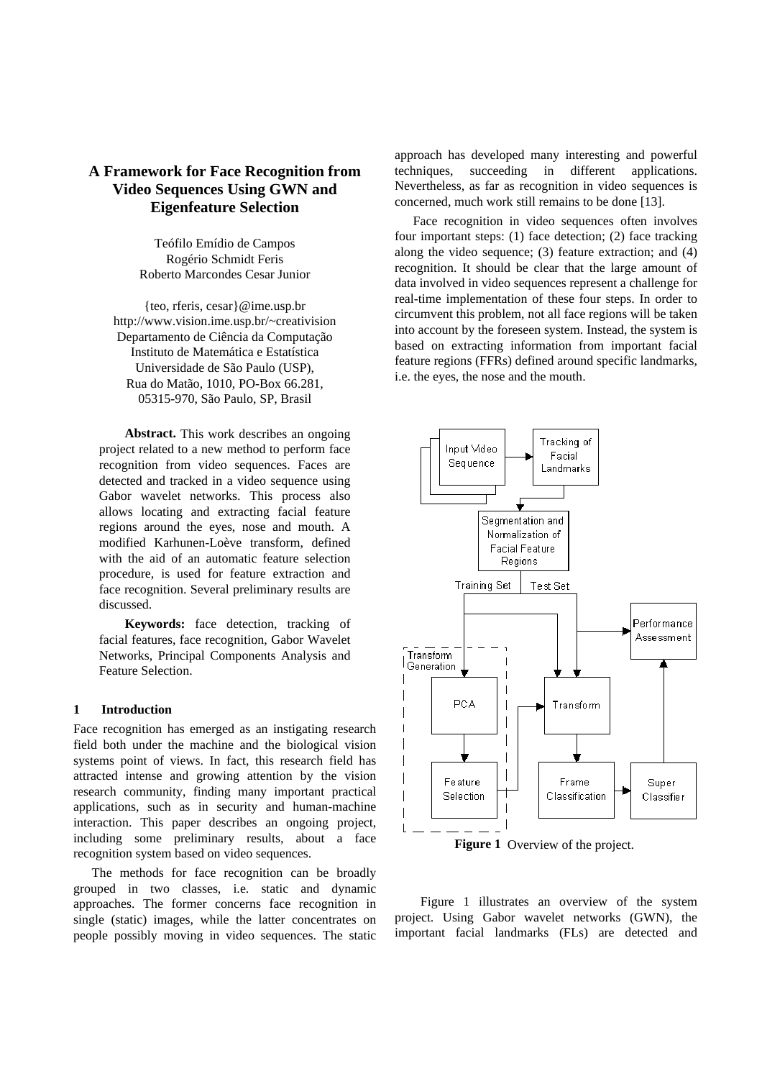# **A Framework for Face Recognition from Video Sequences Using GWN and Eigenfeature Selection**

Teófilo Emídio de Campos Rogério Schmidt Feris Roberto Marcondes Cesar Junior

{teo, rferis, cesar}@ime.usp.br http://www.vision.ime.usp.br/~creativision Departamento de Ciência da Computação Instituto de Matemática e Estatística Universidade de São Paulo (USP), Rua do Matão, 1010, PO-Box 66.281, 05315-970, São Paulo, SP, Brasil

**Abstract.** This work describes an ongoing project related to a new method to perform face recognition from video sequences. Faces are detected and tracked in a video sequence using Gabor wavelet networks. This process also allows locating and extracting facial feature regions around the eyes, nose and mouth. A modified Karhunen-Loève transform, defined with the aid of an automatic feature selection procedure, is used for feature extraction and face recognition. Several preliminary results are discussed.

**Keywords:** face detection, tracking of facial features, face recognition, Gabor Wavelet Networks, Principal Components Analysis and Feature Selection.

#### **1 Introduction**

Face recognition has emerged as an instigating research field both under the machine and the biological vision systems point of views. In fact, this research field has attracted intense and growing attention by the vision research community, finding many important practical applications, such as in security and human-machine interaction. This paper describes an ongoing project, including some preliminary results, about a face recognition system based on video sequences.

The methods for face recognition can be broadly grouped in two classes, i.e. static and dynamic approaches. The former concerns face recognition in single (static) images, while the latter concentrates on people possibly moving in video sequences. The static

approach has developed many interesting and powerful techniques, succeeding in different applications. Nevertheless, as far as recognition in video sequences is concerned, much work still remains to be done [13].

Face recognition in video sequences often involves four important steps: (1) face detection; (2) face tracking along the video sequence; (3) feature extraction; and (4) recognition. It should be clear that the large amount of data involved in video sequences represent a challenge for real-time implementation of these four steps. In order to circumvent this problem, not all face regions will be taken into account by the foreseen system. Instead, the system is based on extracting information from important facial feature regions (FFRs) defined around specific landmarks, i.e. the eyes, the nose and the mouth.



**Figure 1** Overview of the project.

Figure 1 illustrates an overview of the system project. Using Gabor wavelet networks (GWN), the important facial landmarks (FLs) are detected and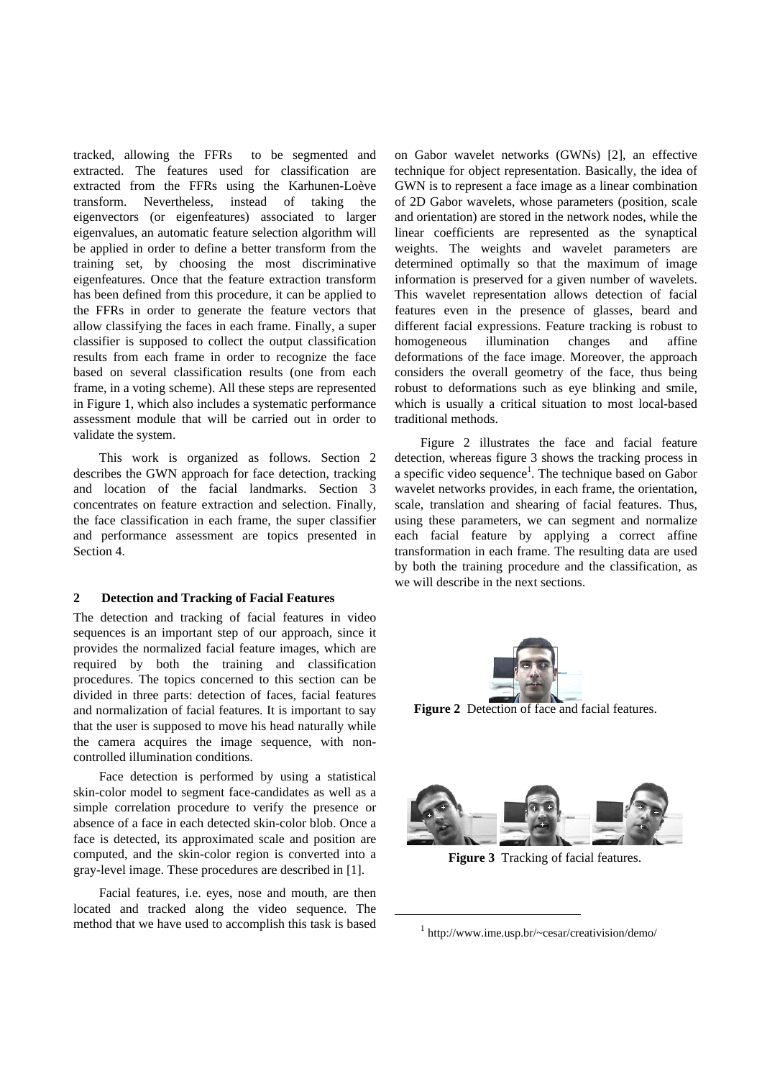tracked, allowing the FFRs to be segmented and extracted. The features used for classification are extracted from the FFRs using the Karhunen-Loève transform. Nevertheless, instead of taking the eigenvectors (or eigenfeatures) associated to larger eigenvalues, an automatic feature selection algorithm will be applied in order to define a better transform from the training set, by choosing the most discriminative eigenfeatures. Once that the feature extraction transform has been defined from this procedure, it can be applied to the FFRs in order to generate the feature vectors that allow classifying the faces in each frame. Finally, a super classifier is supposed to collect the output classification results from each frame in order to recognize the face based on several classification results (one from each frame, in a voting scheme). All these steps are represented in Figure 1, which also includes a systematic performance assessment module that will be carried out in order to validate the system.

This work is organized as follows. Section 2 describes the GWN approach for face detection, tracking and location of the facial landmarks. Section 3 concentrates on feature extraction and selection. Finally, the face classification in each frame, the super classifier and performance assessment are topics presented in Section 4.

### **2 Detection and Tracking of Facial Features**

The detection and tracking of facial features in video sequences is an important step of our approach, since it provides the normalized facial feature images, which are required by both the training and classification procedures. The topics concerned to this section can be divided in three parts: detection of faces, facial features and normalization of facial features. It is important to say that the user is supposed to move his head naturally while the camera acquires the image sequence, with noncontrolled illumination conditions.

Face detection is performed by using a statistical skin-color model to segment face-candidates as well as a simple correlation procedure to verify the presence or absence of a face in each detected skin-color blob. Once a face is detected, its approximated scale and position are computed, and the skin-color region is converted into a gray-level image. These procedures are described in [1].

Facial features, i.e. eyes, nose and mouth, are then located and tracked along the video sequence. The method that we have used to accomplish this task is based

on Gabor wavelet networks (GWNs) [2], an effective technique for object representation. Basically, the idea of GWN is to represent a face image as a linear combination of 2D Gabor wavelets, whose parameters (position, scale and orientation) are stored in the network nodes, while the linear coefficients are represented as the synaptical weights. The weights and wavelet parameters are determined optimally so that the maximum of image information is preserved for a given number of wavelets. This wavelet representation allows detection of facial features even in the presence of glasses, beard and different facial expressions. Feature tracking is robust to homogeneous illumination changes and affine deformations of the face image. Moreover, the approach considers the overall geometry of the face, thus being robust to deformations such as eye blinking and smile, which is usually a critical situation to most local-based traditional methods.

Figure 2 illustrates the face and facial feature detection, whereas figure 3 shows the tracking process in a specific video sequence<sup>1</sup>. The technique based on Gabor wavelet networks provides, in each frame, the orientation, scale, translation and shearing of facial features. Thus, using these parameters, we can segment and normalize each facial feature by applying a correct affine transformation in each frame. The resulting data are used by both the training procedure and the classification, as we will describe in the next sections.



**Figure 2** Detection of face and facial features.



**Figure 3** Tracking of facial features.

 $\overline{a}$ 

<sup>1</sup> http://www.ime.usp.br/~cesar/creativision/demo/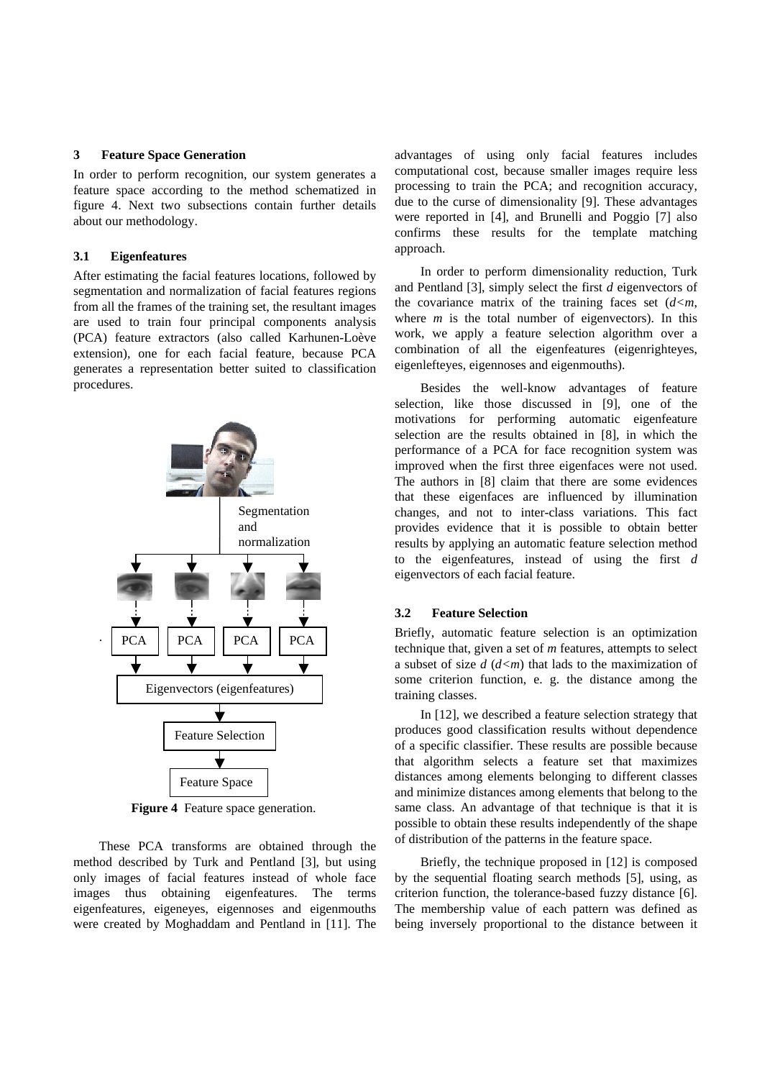### **3 Feature Space Generation**

In order to perform recognition, our system generates a feature space according to the method schematized in figure 4. Next two subsections contain further details about our methodology.

#### **3.1 Eigenfeatures**

After estimating the facial features locations, followed by segmentation and normalization of facial features regions from all the frames of the training set, the resultant images are used to train four principal components analysis (PCA) feature extractors (also called Karhunen-Loève extension), one for each facial feature, because PCA generates a representation better suited to classification procedures.



**Figure 4** Feature space generation.

These PCA transforms are obtained through the method described by Turk and Pentland [3], but using only images of facial features instead of whole face images thus obtaining eigenfeatures. The terms eigenfeatures, eigeneyes, eigennoses and eigenmouths were created by Moghaddam and Pentland in [11]. The

advantages of using only facial features includes computational cost, because smaller images require less processing to train the PCA; and recognition accuracy, due to the curse of dimensionality [9]. These advantages were reported in [4], and Brunelli and Poggio [7] also confirms these results for the template matching approach.

In order to perform dimensionality reduction, Turk and Pentland [3], simply select the first *d* eigenvectors of the covariance matrix of the training faces set  $(d \leq m$ , where  $m$  is the total number of eigenvectors). In this work, we apply a feature selection algorithm over a combination of all the eigenfeatures (eigenrighteyes, eigenlefteyes, eigennoses and eigenmouths).

Besides the well-know advantages of feature selection, like those discussed in [9], one of the motivations for performing automatic eigenfeature selection are the results obtained in [8], in which the performance of a PCA for face recognition system was improved when the first three eigenfaces were not used. The authors in [8] claim that there are some evidences that these eigenfaces are influenced by illumination changes, and not to inter-class variations. This fact provides evidence that it is possible to obtain better results by applying an automatic feature selection method to the eigenfeatures, instead of using the first *d* eigenvectors of each facial feature.

## **3.2 Feature Selection**

Briefly, automatic feature selection is an optimization technique that, given a set of *m* features, attempts to select a subset of size *d* (*d<m*) that lads to the maximization of some criterion function, e. g. the distance among the training classes.

In [12], we described a feature selection strategy that produces good classification results without dependence of a specific classifier. These results are possible because that algorithm selects a feature set that maximizes distances among elements belonging to different classes and minimize distances among elements that belong to the same class. An advantage of that technique is that it is possible to obtain these results independently of the shape of distribution of the patterns in the feature space.

Briefly, the technique proposed in [12] is composed by the sequential floating search methods [5], using, as criterion function, the tolerance-based fuzzy distance [6]. The membership value of each pattern was defined as being inversely proportional to the distance between it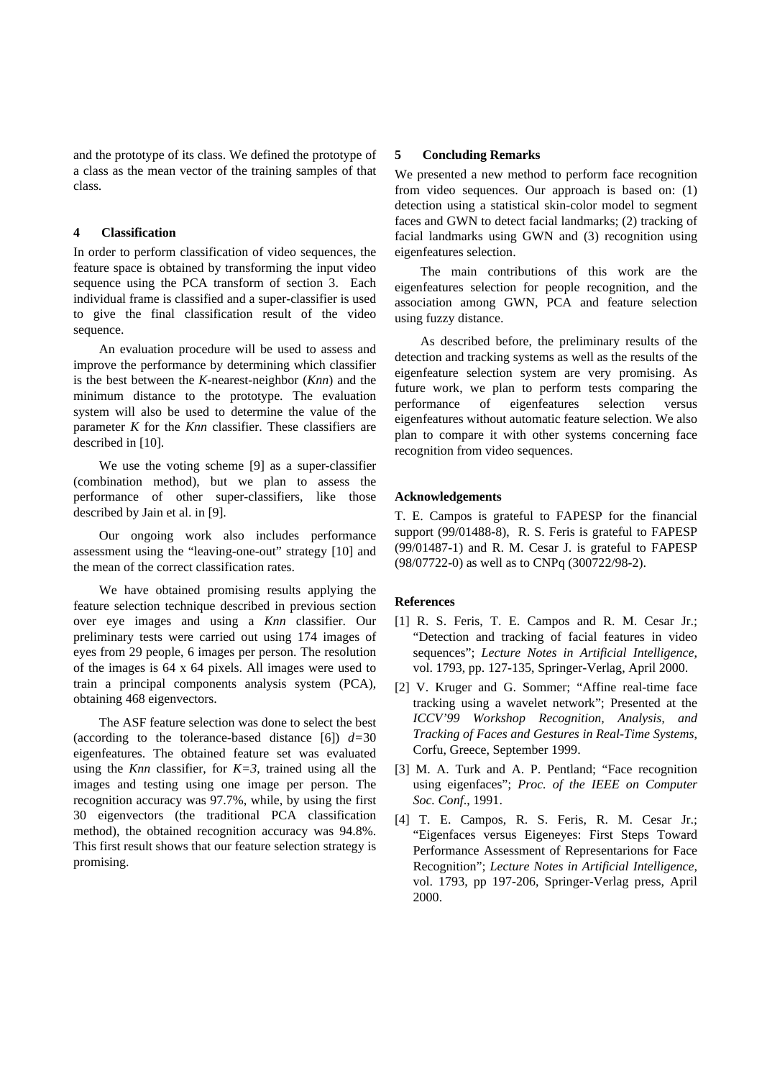and the prototype of its class. We defined the prototype of a class as the mean vector of the training samples of that class.

### **4 Classification**

In order to perform classification of video sequences, the feature space is obtained by transforming the input video sequence using the PCA transform of section 3. Each individual frame is classified and a super-classifier is used to give the final classification result of the video sequence.

An evaluation procedure will be used to assess and improve the performance by determining which classifier is the best between the *K*-nearest-neighbor (*Knn*) and the minimum distance to the prototype. The evaluation system will also be used to determine the value of the parameter *K* for the *Knn* classifier. These classifiers are described in [10].

We use the voting scheme [9] as a super-classifier (combination method), but we plan to assess the performance of other super-classifiers, like those described by Jain et al. in [9].

Our ongoing work also includes performance assessment using the "leaving-one-out" strategy [10] and the mean of the correct classification rates.

We have obtained promising results applying the feature selection technique described in previous section over eye images and using a *Knn* classifier. Our preliminary tests were carried out using 174 images of eyes from 29 people, 6 images per person. The resolution of the images is 64 x 64 pixels. All images were used to train a principal components analysis system (PCA), obtaining 468 eigenvectors.

The ASF feature selection was done to select the best (according to the tolerance-based distance  $[6]$ )  $d=30$ eigenfeatures. The obtained feature set was evaluated using the *Knn* classifier, for *K=3*, trained using all the images and testing using one image per person. The recognition accuracy was 97.7%, while, by using the first 30 eigenvectors (the traditional PCA classification method), the obtained recognition accuracy was 94.8%. This first result shows that our feature selection strategy is promising.

### **5 Concluding Remarks**

We presented a new method to perform face recognition from video sequences. Our approach is based on: (1) detection using a statistical skin-color model to segment faces and GWN to detect facial landmarks; (2) tracking of facial landmarks using GWN and (3) recognition using eigenfeatures selection.

The main contributions of this work are the eigenfeatures selection for people recognition, and the association among GWN, PCA and feature selection using fuzzy distance.

As described before, the preliminary results of the detection and tracking systems as well as the results of the eigenfeature selection system are very promising. As future work, we plan to perform tests comparing the performance of eigenfeatures selection versus eigenfeatures without automatic feature selection. We also plan to compare it with other systems concerning face recognition from video sequences.

## **Acknowledgements**

T. E. Campos is grateful to FAPESP for the financial support (99/01488-8), R. S. Feris is grateful to FAPESP (99/01487-1) and R. M. Cesar J. is grateful to FAPESP (98/07722-0) as well as to CNPq (300722/98-2).

## **References**

- [1] R. S. Feris, T. E. Campos and R. M. Cesar Jr.; "Detection and tracking of facial features in video sequences"; *Lecture Notes in Artificial Intelligence*, vol. 1793, pp. 127-135, Springer-Verlag, April 2000.
- [2] V. Kruger and G. Sommer; "Affine real-time face tracking using a wavelet network"; Presented at the *ICCV'99 Workshop Recognition, Analysis, and Tracking of Faces and Gestures in Real-Time Systems*, Corfu, Greece, September 1999.
- [3] M. A. Turk and A. P. Pentland; "Face recognition using eigenfaces"; *Proc. of the IEEE on Computer Soc. Conf*., 1991.
- [4] T. E. Campos, R. S. Feris, R. M. Cesar Jr.; "Eigenfaces versus Eigeneyes: First Steps Toward Performance Assessment of Representarions for Face Recognition"; *Lecture Notes in Artificial Intelligence*, vol. 1793, pp 197-206, Springer-Verlag press, April 2000.